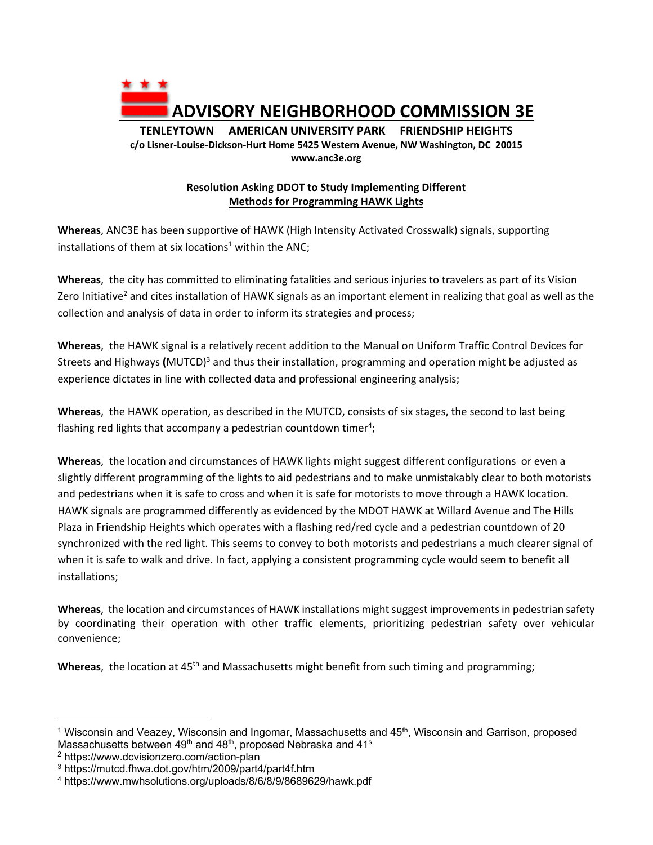

## **Resolution Asking DDOT to Study Implementing Different Methods for Programming HAWK Lights**

**Whereas**, ANC3E has been supportive of HAWK (High Intensity Activated Crosswalk) signals, supporting installations of them at six locations<sup>1</sup> within the ANC;

**Whereas**, the city has committed to eliminating fatalities and serious injuries to travelers as part of its Vision Zero Initiative<sup>2</sup> and cites installation of HAWK signals as an important element in realizing that goal as well as the collection and analysis of data in order to inform its strategies and process;

**Whereas**, the HAWK signal is a relatively recent addition to the Manual on Uniform Traffic Control Devices for Streets and Highways (MUTCD)<sup>3</sup> and thus their installation, programming and operation might be adjusted as experience dictates in line with collected data and professional engineering analysis;

**Whereas**, the HAWK operation, as described in the MUTCD, consists of six stages, the second to last being flashing red lights that accompany a pedestrian countdown timer<sup>4</sup>;

**Whereas**, the location and circumstances of HAWK lights might suggest different configurations or even a slightly different programming of the lights to aid pedestrians and to make unmistakably clear to both motorists and pedestrians when it is safe to cross and when it is safe for motorists to move through a HAWK location. HAWK signals are programmed differently as evidenced by the MDOT HAWK at Willard Avenue and The Hills Plaza in Friendship Heights which operates with a flashing red/red cycle and a pedestrian countdown of 20 synchronized with the red light. This seems to convey to both motorists and pedestrians a much clearer signal of when it is safe to walk and drive. In fact, applying a consistent programming cycle would seem to benefit all installations;

**Whereas**, the location and circumstances of HAWK installations might suggest improvements in pedestrian safety by coordinating their operation with other traffic elements, prioritizing pedestrian safety over vehicular convenience;

**Whereas**, the location at 45<sup>th</sup> and Massachusetts might benefit from such timing and programming;

2 https://www.dcvisionzero.com/action-plan

 $1$  Wisconsin and Veazey, Wisconsin and Ingomar, Massachusetts and  $45<sup>th</sup>$ , Wisconsin and Garrison, proposed Massachusetts between 49<sup>th</sup> and 48<sup>th</sup>, proposed Nebraska and 41<sup>s</sup>

<sup>3</sup> https://mutcd.fhwa.dot.gov/htm/2009/part4/part4f.htm

<sup>4</sup> https://www.mwhsolutions.org/uploads/8/6/8/9/8689629/hawk.pdf